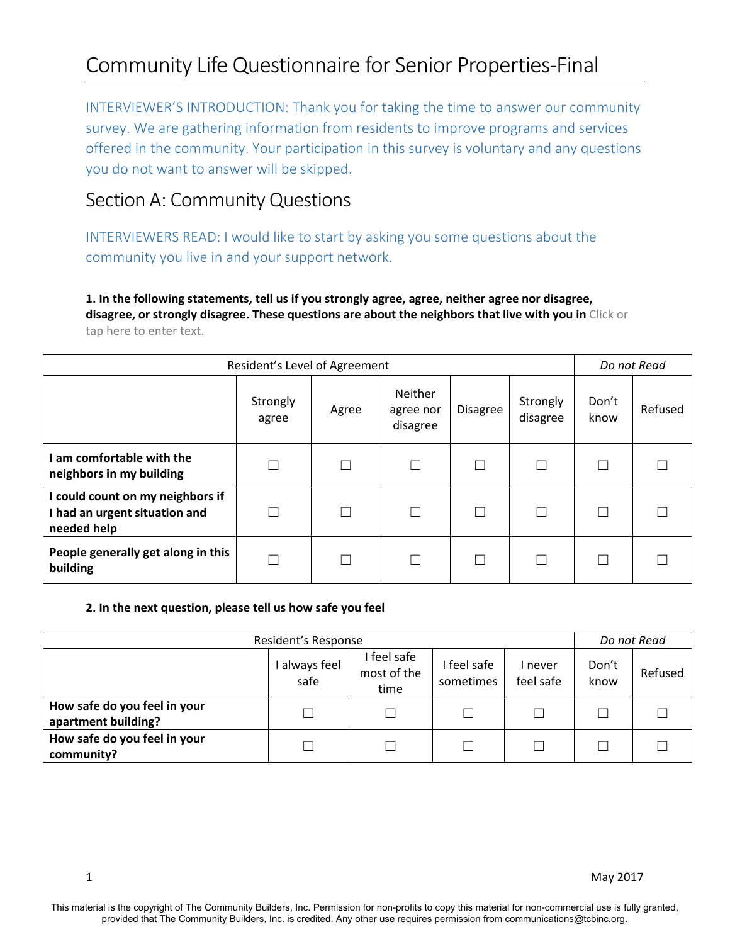INTERVIEWER'S INTRODUCTION: Thank you for taking the time to answer our community survey. We are gathering information from residents to improve programs and services offered in the community. Your participation in this survey is voluntary and any questions you do not want to answer will be skipped.

# Section A: Community Questions

INTERVIEWERS READ: I would like to start by asking you some questions about the community you live in and your support network.

**1. In the following statements, tell us if you strongly agree, agree, neither agree nor disagree, disagree, or strongly disagree. These questions are about the neighbors that live with you in** Click or tap here to enter text.

| Resident's Level of Agreement                                                    | Do not Read       |       |                                  |                 |                      |               |         |
|----------------------------------------------------------------------------------|-------------------|-------|----------------------------------|-----------------|----------------------|---------------|---------|
|                                                                                  | Strongly<br>agree | Agree | Neither<br>agree nor<br>disagree | <b>Disagree</b> | Strongly<br>disagree | Don't<br>know | Refused |
| am comfortable with the<br>neighbors in my building                              | Γ                 |       |                                  |                 |                      |               |         |
| I could count on my neighbors if<br>I had an urgent situation and<br>needed help | Г                 |       |                                  |                 |                      |               |         |
| People generally get along in this<br>building                                   | Г                 | П     |                                  |                 |                      |               |         |

#### **2. In the next question, please tell us how safe you feel**

| Resident's Response                                 |                     |                                  |                        |                      |               | Do not Read |  |
|-----------------------------------------------------|---------------------|----------------------------------|------------------------|----------------------|---------------|-------------|--|
|                                                     | always feel<br>safe | feel safe<br>most of the<br>time | feel safe<br>sometimes | l never<br>feel safe | Don't<br>know | Refused     |  |
| How safe do you feel in your<br>apartment building? | П                   |                                  |                        |                      |               |             |  |
| How safe do you feel in your<br>community?          | $\Box$              |                                  |                        |                      |               |             |  |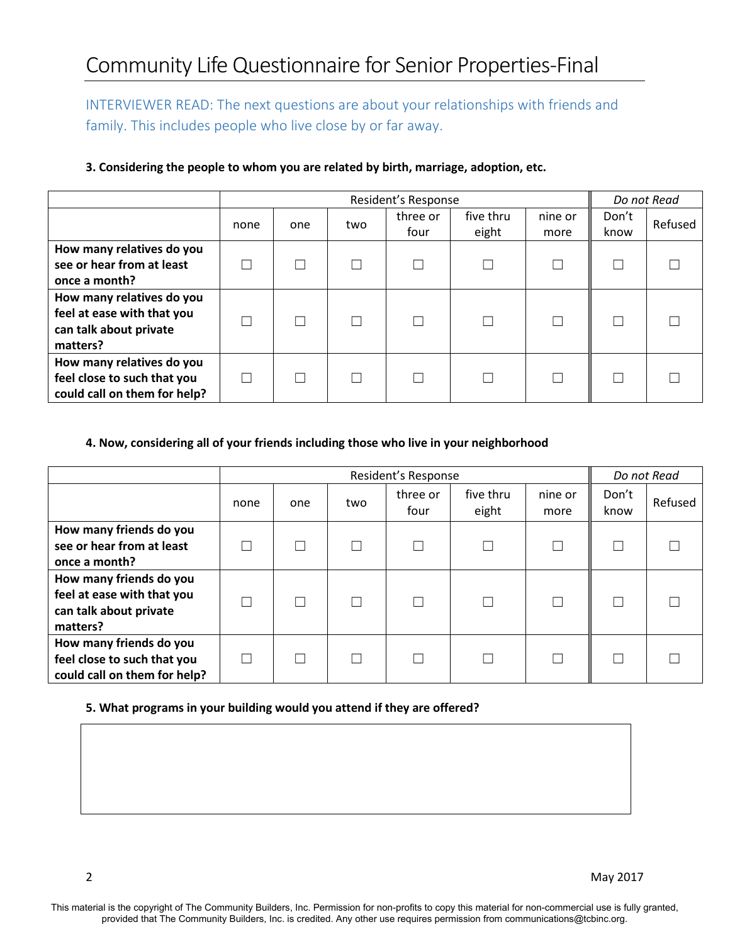INTERVIEWER READ: The next questions are about your relationships with friends and family. This includes people who live close by or far away.

|                                                                                               | Resident's Response |     |     |                  |                    |                 | Do not Read   |         |
|-----------------------------------------------------------------------------------------------|---------------------|-----|-----|------------------|--------------------|-----------------|---------------|---------|
|                                                                                               | none                | one | two | three or<br>four | five thru<br>eight | nine or<br>more | Don't<br>know | Refused |
| How many relatives do you<br>see or hear from at least<br>once a month?                       |                     |     |     |                  |                    |                 |               |         |
| How many relatives do you<br>feel at ease with that you<br>can talk about private<br>matters? |                     |     |     |                  |                    |                 |               |         |
| How many relatives do you<br>feel close to such that you<br>could call on them for help?      | Г                   |     |     |                  |                    |                 |               |         |

### **3. Considering the people to whom you are related by birth, marriage, adoption, etc.**

### **4. Now, considering all of your friends including those who live in your neighborhood**

|                                                                                             |      | Resident's Response |     |                  |                    |                 |               | Do not Read |  |
|---------------------------------------------------------------------------------------------|------|---------------------|-----|------------------|--------------------|-----------------|---------------|-------------|--|
|                                                                                             | none | one                 | two | three or<br>four | five thru<br>eight | nine or<br>more | Don't<br>know | Refused     |  |
| How many friends do you<br>see or hear from at least<br>once a month?                       |      |                     |     |                  |                    |                 |               |             |  |
| How many friends do you<br>feel at ease with that you<br>can talk about private<br>matters? |      |                     |     |                  |                    | Г               |               |             |  |
| How many friends do you<br>feel close to such that you<br>could call on them for help?      |      |                     |     |                  |                    |                 |               |             |  |

### **5. What programs in your building would you attend if they are offered?**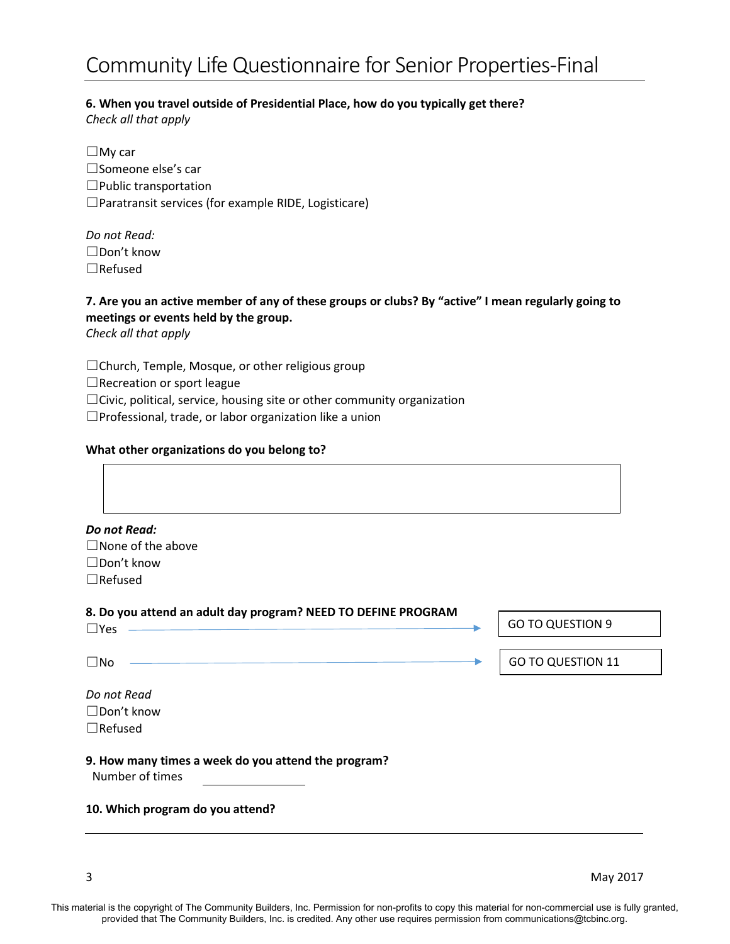#### **6. When you travel outside of Presidential Place, how do you typically get there?**

*Check all that apply*

☐My car ☐Someone else's car ☐Public transportation ☐Paratransit services (for example RIDE, Logisticare)

| Do not Read:   |
|----------------|
| ∟Don't know    |
| $\Box$ Refused |

## **7. Are you an active member of any of these groups or clubs? By "active" I mean regularly going to meetings or events held by the group.**

*Check all that apply*

☐Church, Temple, Mosque, or other religious group

□Recreation or sport league

☐Civic, political, service, housing site or other community organization

☐Professional, trade, or labor organization like a union

#### **What other organizations do you belong to?**

| Do not Read:<br>$\Box$ None of the above<br>$\Box$ Don't know                                 |                          |
|-----------------------------------------------------------------------------------------------|--------------------------|
| $\Box$ Refused<br>8. Do you attend an adult day program? NEED TO DEFINE PROGRAM<br>$\Box$ Yes | <b>GO TO QUESTION 9</b>  |
| $\square$ No<br>Do not Read                                                                   | <b>GO TO QUESTION 11</b> |
| $\Box$ Don't know<br>$\Box$ Refused                                                           |                          |
| 9. How many times a week do you attend the program?<br>Number of times                        |                          |
| 10. Which program do you attend?                                                              |                          |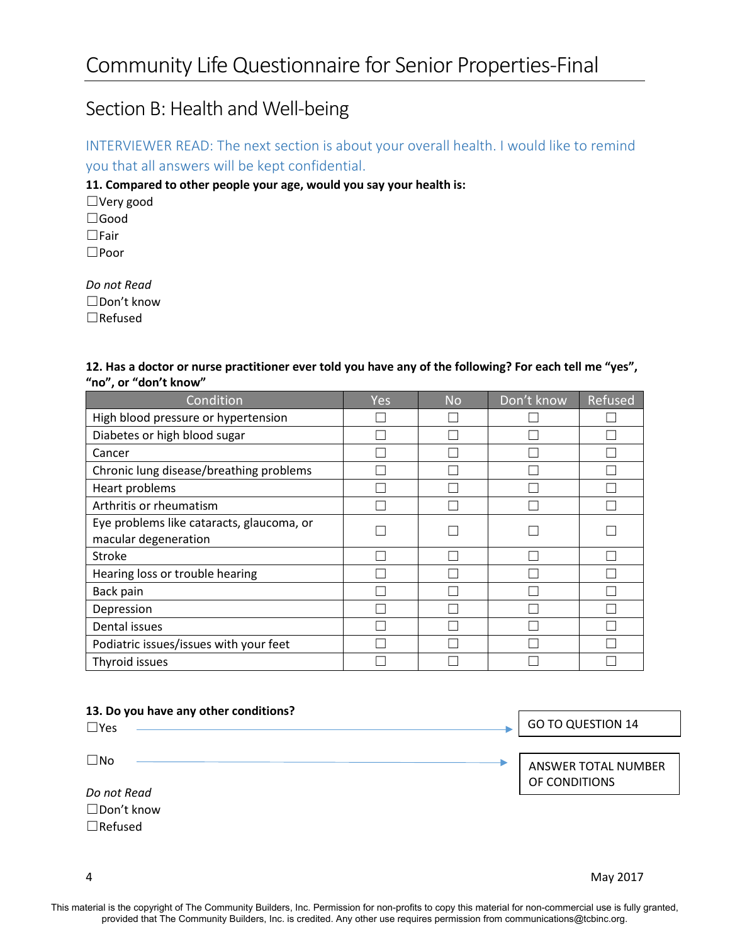# Section B: Health and Well-being

INTERVIEWER READ: The next section is about your overall health. I would like to remind you that all answers will be kept confidential.

**11. Compared to other people your age, would you say your health is:**

☐Very good ☐Good ☐Fair ☐Poor

*Do not Read* ☐Don't know

☐Refused

| 12. Has a doctor or nurse practitioner ever told you have any of the following? For each tell me "yes", |  |
|---------------------------------------------------------------------------------------------------------|--|
| "no", or "don't know"                                                                                   |  |

| Condition                                 | Yes | <b>No</b> | Don't know | Refused |
|-------------------------------------------|-----|-----------|------------|---------|
| High blood pressure or hypertension       |     |           |            |         |
| Diabetes or high blood sugar              |     |           |            |         |
| Cancer                                    |     |           |            |         |
| Chronic lung disease/breathing problems   |     |           |            |         |
| Heart problems                            |     |           |            |         |
| Arthritis or rheumatism                   |     |           |            |         |
| Eye problems like cataracts, glaucoma, or |     |           |            |         |
| macular degeneration                      |     |           |            |         |
| <b>Stroke</b>                             |     |           |            |         |
| Hearing loss or trouble hearing           |     |           |            |         |
| Back pain                                 |     |           |            |         |
| Depression                                |     |           |            |         |
| Dental issues                             |     |           |            |         |
| Podiatric issues/issues with your feet    |     |           |            |         |
| Thyroid issues                            |     |           |            |         |

| 13. Do you have any other conditions? |                                      |
|---------------------------------------|--------------------------------------|
| $\Box$ Yes                            | <b>GO TO QUESTION 14</b>             |
|                                       |                                      |
| $\square$ No                          | ANSWER TOTAL NUMBER<br>OF CONDITIONS |
| Do not Read                           |                                      |
| $\Box$ Don't know                     |                                      |
| $\Box$ Refused                        |                                      |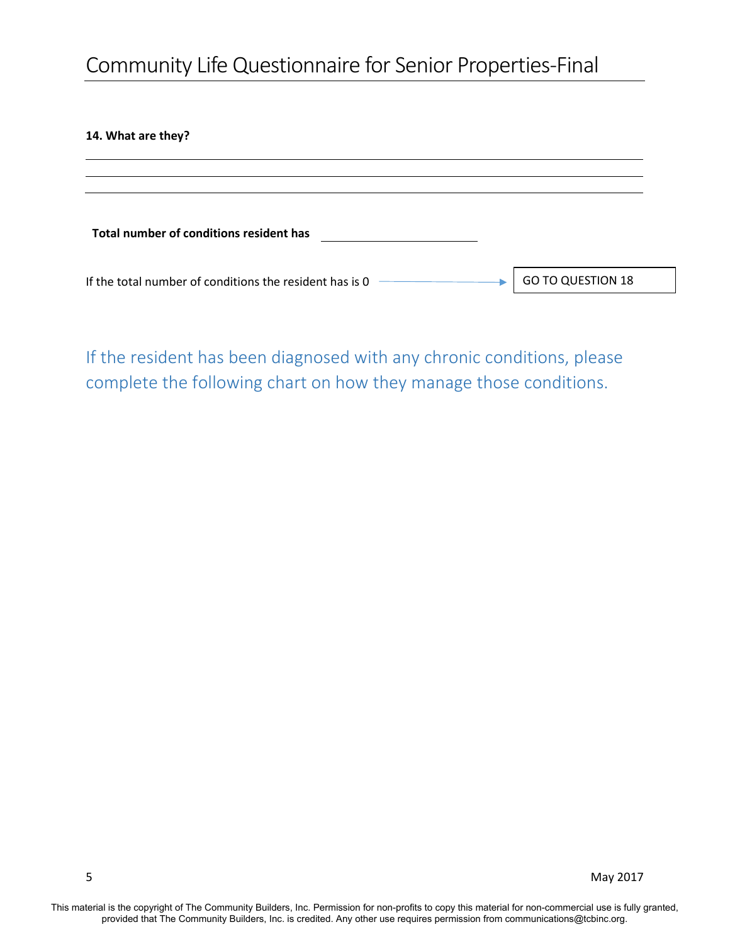#### **14. What are they?**

| Total number of conditions resident has                 |                          |
|---------------------------------------------------------|--------------------------|
| If the total number of conditions the resident has is 0 | <b>GO TO QUESTION 18</b> |

If the resident has been diagnosed with any chronic conditions, please complete the following chart on how they manage those conditions.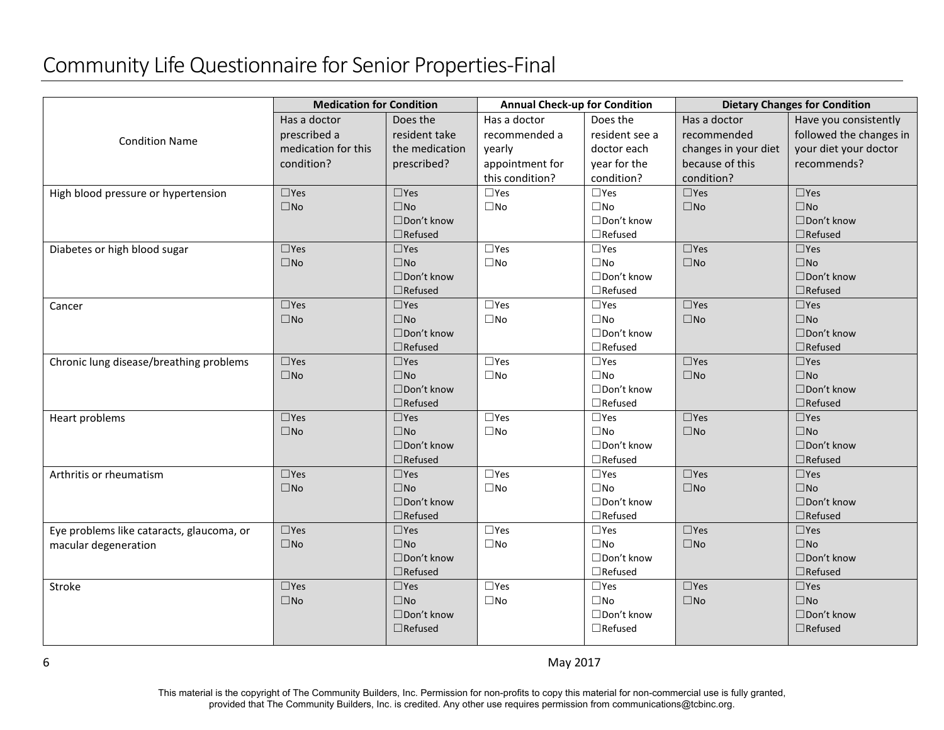|                                           | <b>Medication for Condition</b> |                                 | <b>Annual Check-up for Condition</b> |                                 |                      | <b>Dietary Changes for Condition</b> |
|-------------------------------------------|---------------------------------|---------------------------------|--------------------------------------|---------------------------------|----------------------|--------------------------------------|
|                                           | Has a doctor                    | Does the                        | Has a doctor                         | Does the                        | Has a doctor         | Have you consistently                |
| <b>Condition Name</b>                     | prescribed a                    | resident take                   | recommended a                        | resident see a                  | recommended          | followed the changes in              |
|                                           | medication for this             | the medication                  | yearly                               | doctor each                     | changes in your diet | your diet your doctor                |
|                                           | condition?                      | prescribed?                     | appointment for                      | year for the                    | because of this      | recommends?                          |
|                                           |                                 |                                 | this condition?                      | condition?                      | condition?           |                                      |
| High blood pressure or hypertension       | $\square$ Yes                   | $\square$ Yes                   | $\square$ Yes                        | $\square$ Yes                   | $\square$ Yes        | $\square$ Yes                        |
|                                           | $\square$ No                    | $\square$ No                    | $\square$ No                         | $\square$ No                    | $\square$ No         | $\square$ No                         |
|                                           |                                 | □Don't know                     |                                      | $\Box$ Don't know               |                      | $\Box$ Don't know                    |
|                                           |                                 | $\Box$ Refused                  |                                      | $\Box$ Refused                  |                      | $\Box$ Refused                       |
| Diabetes or high blood sugar              | $\square$ Yes                   | $\square$ Yes                   | $\Box$ Yes                           | $\square$ Yes                   | $\square$ Yes        | $\square$ Yes                        |
|                                           | $\square$ No                    | $\square$ No                    | $\square$ No                         | $\square$ No                    | $\square$ No         | $\square$ No                         |
|                                           |                                 | □Don't know                     |                                      | □Don't know                     |                      | $\Box$ Don't know                    |
|                                           |                                 | $\Box$ Refused                  |                                      | $\Box$ Refused                  |                      | $\Box$ Refused                       |
| Cancer                                    | $\square$ Yes                   | $\square$ Yes                   | $\square$ Yes                        | $\square$ Yes                   | $\square$ Yes        | $\square$ Yes                        |
|                                           | $\square$ No                    | $\square$ No                    | $\square$ No                         | $\square$ No                    | $\square$ No         | $\square$ No                         |
|                                           |                                 | □Don't know                     |                                      | □Don't know                     |                      | □Don't know                          |
|                                           |                                 | $\Box$ Refused                  |                                      | $\Box$ Refused                  |                      | $\Box$ Refused                       |
| Chronic lung disease/breathing problems   | $\square$ Yes                   | $\square$ Yes                   | $\square$ Yes                        | $\square$ Yes                   | $\square$ Yes        | $\square$ Yes                        |
|                                           | $\square$ No                    | $\square$ No                    | $\square$ No                         | $\square$ No                    | $\square$ No         | $\square$ No                         |
|                                           |                                 | □Don't know                     |                                      | □Don't know                     |                      | □Don't know                          |
|                                           |                                 | $\Box$ Refused                  |                                      | $\Box$ Refused                  |                      | $\Box$ Refused                       |
| Heart problems                            | $\square$ Yes                   | $\square$ Yes                   | $\square$ Yes                        | $\square$ Yes                   | $\square$ Yes        | $\square$ Yes                        |
|                                           | $\square$ No                    | $\square$ No                    | $\square$ No                         | $\square$ No                    | $\square$ No         | $\square$ No                         |
|                                           |                                 | □Don't know                     |                                      | $\Box$ Don't know               |                      | □Don't know                          |
| Arthritis or rheumatism                   | $\square$ Yes                   | $\Box$ Refused<br>$\square$ Yes | $\square$ Yes                        | $\Box$ Refused<br>$\square$ Yes | $\square$ Yes        | $\Box$ Refused<br>$\square$ Yes      |
|                                           | $\square$ No                    | $\square$ No                    | $\square$ No                         | $\square$ No                    | $\square$ No         | $\square$ No                         |
|                                           |                                 | □Don't know                     |                                      | □Don't know                     |                      | □Don't know                          |
|                                           |                                 | $\Box$ Refused                  |                                      | $\Box$ Refused                  |                      | $\Box$ Refused                       |
| Eye problems like cataracts, glaucoma, or | $\square$ Yes                   | $\square$ Yes                   | $\square$ Yes                        | $\square$ Yes                   | $\square$ Yes        | $\square$ Yes                        |
| macular degeneration                      | $\Box$ No                       | $\square$ No                    | $\square$ No                         | $\square$ No                    | $\Box$ No            | $\square$ No                         |
|                                           |                                 | □Don't know                     |                                      | □Don't know                     |                      | □Don't know                          |
|                                           |                                 | $\Box$ Refused                  |                                      | $\Box$ Refused                  |                      | $\Box$ Refused                       |
| Stroke                                    | $\square$ Yes                   | $\square$ Yes                   | $\square$ Yes                        | $\square$ Yes                   | $\square$ Yes        | $\square$ Yes                        |
|                                           | $\square$ No                    | $\square$ No                    | $\square$ No                         | $\square$ No                    | $\square$ No         | $\square$ No                         |
|                                           |                                 | □Don't know                     |                                      | □Don't know                     |                      | □Don't know                          |
|                                           |                                 | $\Box$ Refused                  |                                      | $\Box$ Refused                  |                      | $\Box$ Refused                       |
|                                           |                                 |                                 |                                      |                                 |                      |                                      |

This material is the copyright of The Community Builders, Inc. Permission for non-profits to copy this material for non-commercial use is fully granted, provided that The Community Builders, Inc. is credited. Any other use requires permission from communications@tcbinc.org.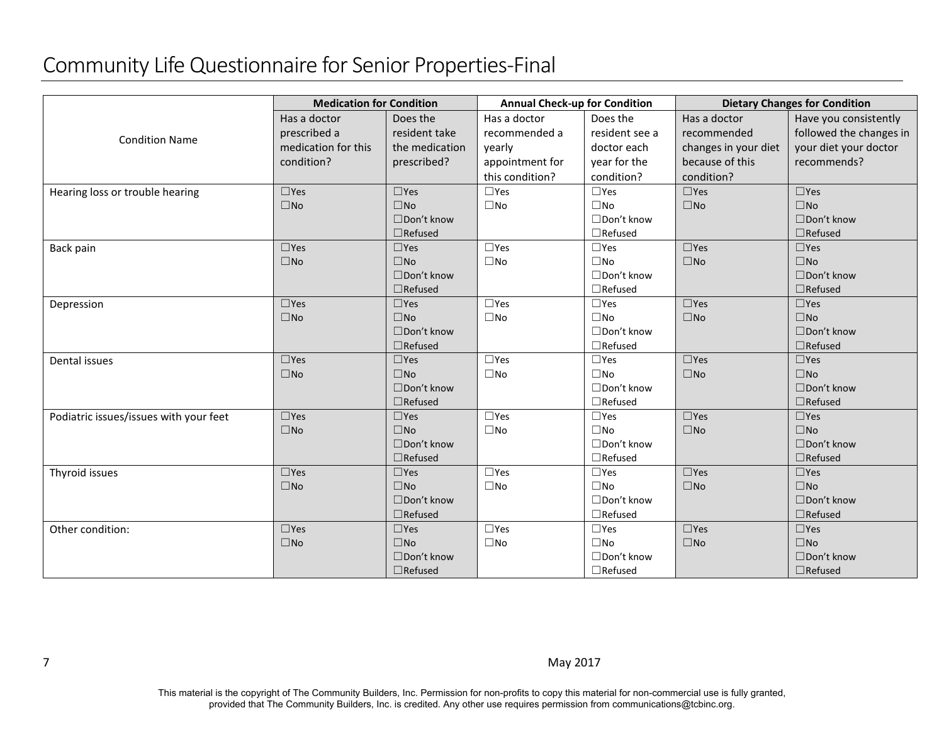|                                        | <b>Medication for Condition</b> |                   | <b>Annual Check-up for Condition</b> |                   | <b>Dietary Changes for Condition</b> |                         |  |
|----------------------------------------|---------------------------------|-------------------|--------------------------------------|-------------------|--------------------------------------|-------------------------|--|
|                                        | Has a doctor                    | Does the          | Has a doctor                         | Does the          | Has a doctor                         | Have you consistently   |  |
|                                        | prescribed a                    | resident take     | recommended a                        | resident see a    | recommended                          | followed the changes in |  |
| <b>Condition Name</b>                  | medication for this             | the medication    | yearly                               | doctor each       | changes in your diet                 | your diet your doctor   |  |
|                                        | condition?                      | prescribed?       | appointment for                      | year for the      | because of this                      | recommends?             |  |
|                                        |                                 |                   | this condition?                      | condition?        | condition?                           |                         |  |
| Hearing loss or trouble hearing        | $\square$ Yes                   | $\square$ Yes     | $\Box$ Yes                           | $\square$ Yes     | $\square$ Yes                        | $\square$ Yes           |  |
|                                        | $\square$ No                    | $\square$ No      | $\square$ No                         | $\square$ No      | $\square$ No                         | $\Box$ No               |  |
|                                        |                                 | $\Box$ Don't know |                                      | □Don't know       |                                      | $\Box$ Don't know       |  |
|                                        |                                 | $\Box$ Refused    |                                      | $\Box$ Refused    |                                      | $\Box$ Refused          |  |
| Back pain                              | $\square$ Yes                   | $\square$ Yes     | $\square$ Yes                        | $\square$ Yes     | $\square$ Yes                        | $\square$ Yes           |  |
|                                        | $\square$ No                    | $\Box$ No         | $\square$ No                         | $\square$ No      | $\Box$ No                            | $\Box$ No               |  |
|                                        |                                 | □Don't know       |                                      | □Don't know       |                                      | □Don't know             |  |
|                                        |                                 | $\Box$ Refused    |                                      | $\Box$ Refused    |                                      | $\Box$ Refused          |  |
| Depression                             | $\square$ Yes                   | $\square$ Yes     | $\square$ Yes                        | $\square$ Yes     | $\square$ Yes                        | $\square$ Yes           |  |
|                                        | $\square$ No                    | $\square$ No      | $\square$ No                         | $\square$ No      | $\square$ No                         | $\square$ No            |  |
|                                        |                                 | □Don't know       |                                      | □Don't know       |                                      | □Don't know             |  |
|                                        |                                 | $\Box$ Refused    |                                      | $\Box$ Refused    |                                      | $\Box$ Refused          |  |
| Dental issues                          | $\square$ Yes                   | $\square$ Yes     | $\square$ Yes                        | $\Box$ Yes        | $\square$ Yes                        | $\square$ Yes           |  |
|                                        | $\square$ No                    | $\square$ No      | $\square$ No                         | $\square$ No      | $\square$ No                         | $\square$ No            |  |
|                                        |                                 | □Don't know       |                                      | □Don't know       |                                      | $\Box$ Don't know       |  |
|                                        |                                 | $\Box$ Refused    |                                      | $\Box$ Refused    |                                      | $\Box$ Refused          |  |
| Podiatric issues/issues with your feet | $\square$ Yes                   | $\square$ Yes     | $\square$ Yes                        | $\Box$ Yes        | $\square$ Yes                        | $\square$ Yes           |  |
|                                        | $\square$ No                    | $\square$ No      | $\square$ No                         | $\square$ No      | $\square$ No                         | $\square$ No            |  |
|                                        |                                 | $\Box$ Don't know |                                      | □Don't know       |                                      | $\Box$ Don't know       |  |
|                                        |                                 | $\Box$ Refused    |                                      | $\Box$ Refused    |                                      | $\Box$ Refused          |  |
| Thyroid issues                         | $\square$ Yes                   | $\square$ Yes     | $\square$ Yes                        | $\square$ Yes     | $\square$ Yes                        | $\square$ Yes           |  |
|                                        | $\square$ No                    | $\square$ No      | $\square$ No                         | $\square$ No      | $\square$ No                         | $\square$ No            |  |
|                                        |                                 | $\Box$ Don't know |                                      | $\Box$ Don't know |                                      | $\Box$ Don't know       |  |
|                                        |                                 | $\Box$ Refused    |                                      | $\Box$ Refused    |                                      | $\Box$ Refused          |  |
| Other condition:                       | $\square$ Yes                   | $\square$ Yes     | $\square$ Yes                        | $\square$ Yes     | $\square$ Yes                        | $\square$ Yes           |  |
|                                        | $\square$ No                    | $\square$ No      | $\square$ No                         | $\square$ No      | $\square$ No                         | $\square$ No            |  |
|                                        |                                 | □Don't know       |                                      | □Don't know       |                                      | □Don't know             |  |
|                                        |                                 | $\Box$ Refused    |                                      | $\Box$ Refused    |                                      | $\Box$ Refused          |  |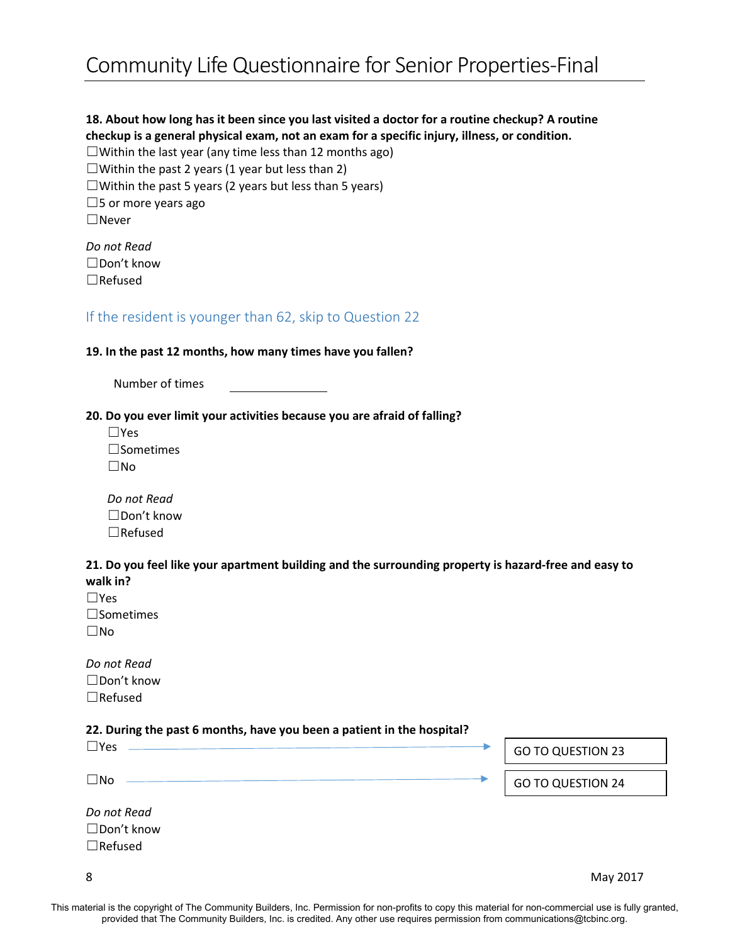# **18. About how long has it been since you last visited a doctor for a routine checkup? A routine checkup is a general physical exam, not an exam for a specific injury, illness, or condition.**

 $\Box$ Within the last year (any time less than 12 months ago)

 $\Box$ Within the past 2 years (1 year but less than 2)

 $\Box$ Within the past 5 years (2 years but less than 5 years)

 $\square$ 5 or more years ago

☐Never

*Do not Read* ☐Don't know ☐Refused

### If the resident is younger than 62, skip to Question 22

#### **19. In the past 12 months, how many times have you fallen?**

Number of times

#### **20. Do you ever limit your activities because you are afraid of falling?**

| l IYes           |
|------------------|
| $\Box$ Sometimes |
| $\Box$ No        |

| Do not Read       |
|-------------------|
| $\Box$ Don't know |
| $\Box$ Refused    |

#### **21. Do you feel like your apartment building and the surrounding property is hazard-free and easy to walk in?**

| $\Box$ Yes       |
|------------------|
| $\Box$ Sometimes |
| ∣ IN∩            |

*Do not Read* ☐Don't know ☐Refused

#### **22. During the past 6 months, have you been a patient in the hospital?**

| $\square$ Yes                                | <b>GO TO QUESTION 23</b> |
|----------------------------------------------|--------------------------|
| $\square$ No                                 | <b>GO TO QUESTION 24</b> |
| Do not Read<br>□Don't know<br>$\Box$ Refused |                          |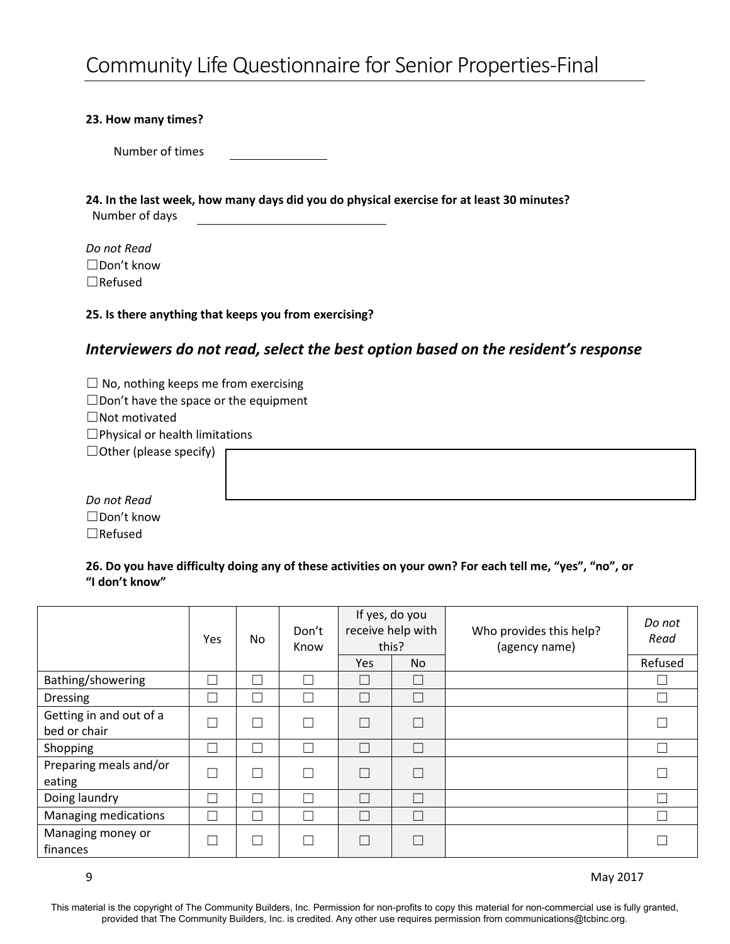#### **23. How many times?**

Number of times

**24. In the last week, how many days did you do physical exercise for at least 30 minutes?** Number of days

*Do not Read* ☐Don't know ☐Refused

#### **25. Is there anything that keeps you from exercising?**

# *Interviewers do not read, select the best option based on the resident's response*

 $\Box$  No, nothing keeps me from exercising

☐Don't have the space or the equipment

☐Not motivated

☐Physical or health limitations

 $\Box$  Other (please specify)

*Do not Read* ☐Don't know ☐Refused

**26. Do you have difficulty doing any of these activities on your own? For each tell me, "yes", "no", or "I don't know"**

|                                         | Yes | No | Don't<br>Know | If yes, do you<br>receive help with<br>this? |           | Who provides this help?<br>(agency name) | Do not<br>Read           |
|-----------------------------------------|-----|----|---------------|----------------------------------------------|-----------|------------------------------------------|--------------------------|
|                                         |     |    |               | Yes                                          | <b>No</b> |                                          | Refused                  |
| Bathing/showering                       |     |    |               |                                              |           |                                          | $\overline{\phantom{a}}$ |
| <b>Dressing</b>                         |     |    |               |                                              |           |                                          | $\Box$                   |
| Getting in and out of a<br>bed or chair |     |    |               | m.                                           | П         |                                          | $\Box$                   |
| Shopping                                |     |    |               |                                              |           |                                          | $\Box$                   |
| Preparing meals and/or<br>eating        | ٦   |    |               | n.                                           | Г         |                                          | $\overline{\phantom{a}}$ |
| Doing laundry                           |     |    |               | ΞΙ                                           | Г         |                                          | $\Box$                   |
| Managing medications                    |     |    |               |                                              |           |                                          | $\Box$                   |
| Managing money or<br>finances           | ×.  |    |               |                                              |           |                                          | Γ                        |

9 May 2017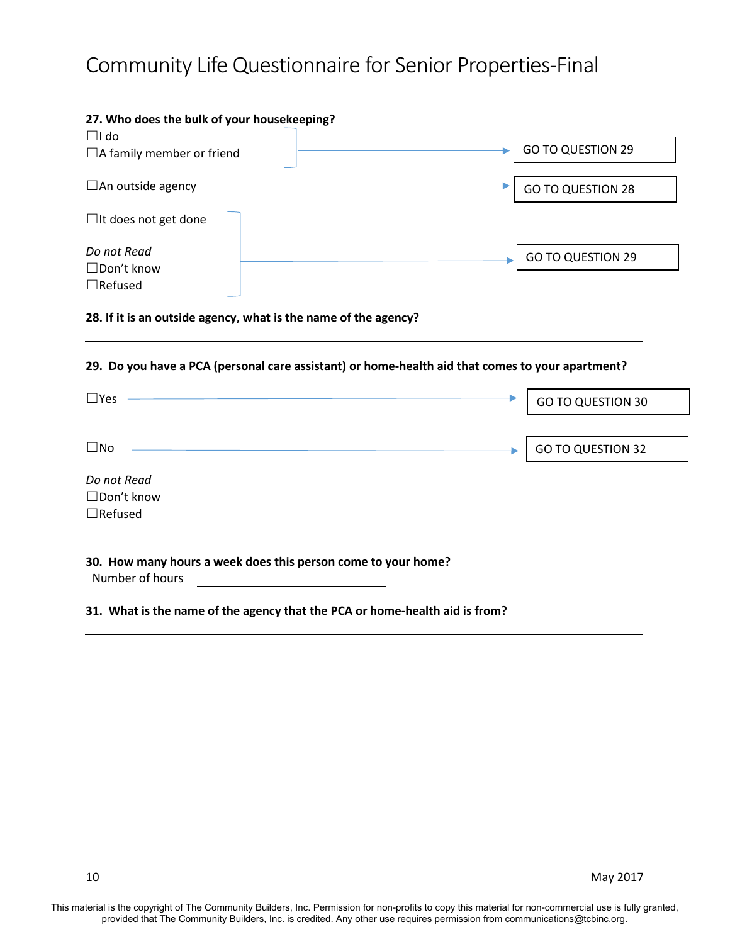## **27. Who does the bulk of your housekeeping?**  $\Box$ I do □A family member or friend  $\square$ An outside agency ☐It does not get done *Do not Read* ☐Don't know ☐Refused GO TO QUESTION 29 GO TO QUESTION 28 GO TO QUESTION 29

#### **28. If it is an outside agency, what is the name of the agency?**

#### **29. Do you have a PCA (personal care assistant) or home-health aid that comes to your apartment?**

| $\square$ Yes     |                                                               |                                                                             | <b>GO TO QUESTION 30</b> |
|-------------------|---------------------------------------------------------------|-----------------------------------------------------------------------------|--------------------------|
|                   |                                                               |                                                                             |                          |
| $\square$ No      |                                                               |                                                                             | <b>GO TO QUESTION 32</b> |
| Do not Read       |                                                               |                                                                             |                          |
| $\Box$ Don't know |                                                               |                                                                             |                          |
| $\Box$ Refused    |                                                               |                                                                             |                          |
| Number of hours   | 30. How many hours a week does this person come to your home? |                                                                             |                          |
|                   |                                                               | 31. What is the name of the agency that the PCA or home-health aid is from? |                          |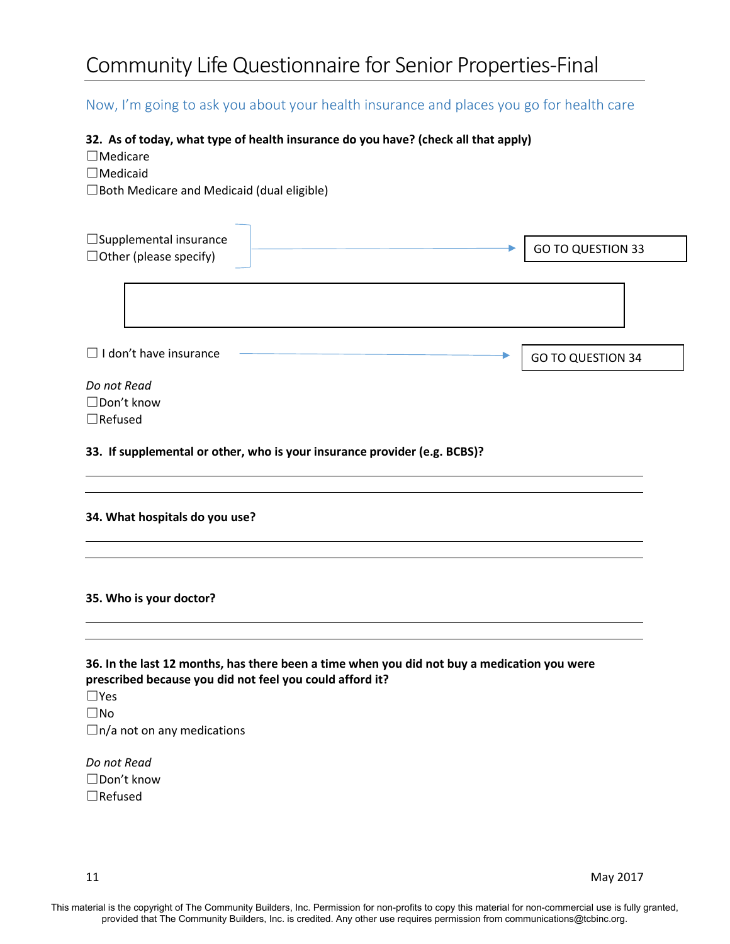# Now, I'm going to ask you about your health insurance and places you go for health care

#### **32. As of today, what type of health insurance do you have? (check all that apply)**

☐Medicare

☐Medicaid

☐Both Medicare and Medicaid (dual eligible)

| $\Box$ Supplemental insurance                            |                                                                           |                                                                                             |
|----------------------------------------------------------|---------------------------------------------------------------------------|---------------------------------------------------------------------------------------------|
| $\Box$ Other (please specify)                            |                                                                           | <b>GO TO QUESTION 33</b>                                                                    |
|                                                          |                                                                           |                                                                                             |
|                                                          |                                                                           |                                                                                             |
| $\Box$ I don't have insurance                            |                                                                           | <b>GO TO QUESTION 34</b>                                                                    |
| Do not Read                                              |                                                                           |                                                                                             |
| □Don't know                                              |                                                                           |                                                                                             |
| $\Box$ Refused                                           |                                                                           |                                                                                             |
|                                                          | 33. If supplemental or other, who is your insurance provider (e.g. BCBS)? |                                                                                             |
| 34. What hospitals do you use?                           |                                                                           |                                                                                             |
| 35. Who is your doctor?                                  |                                                                           |                                                                                             |
| prescribed because you did not feel you could afford it? |                                                                           | 36. In the last 12 months, has there been a time when you did not buy a medication you were |

☐No  $\Box$ n/a not on any medications

*Do not Read* ☐Don't know ☐Refused

11 May 2017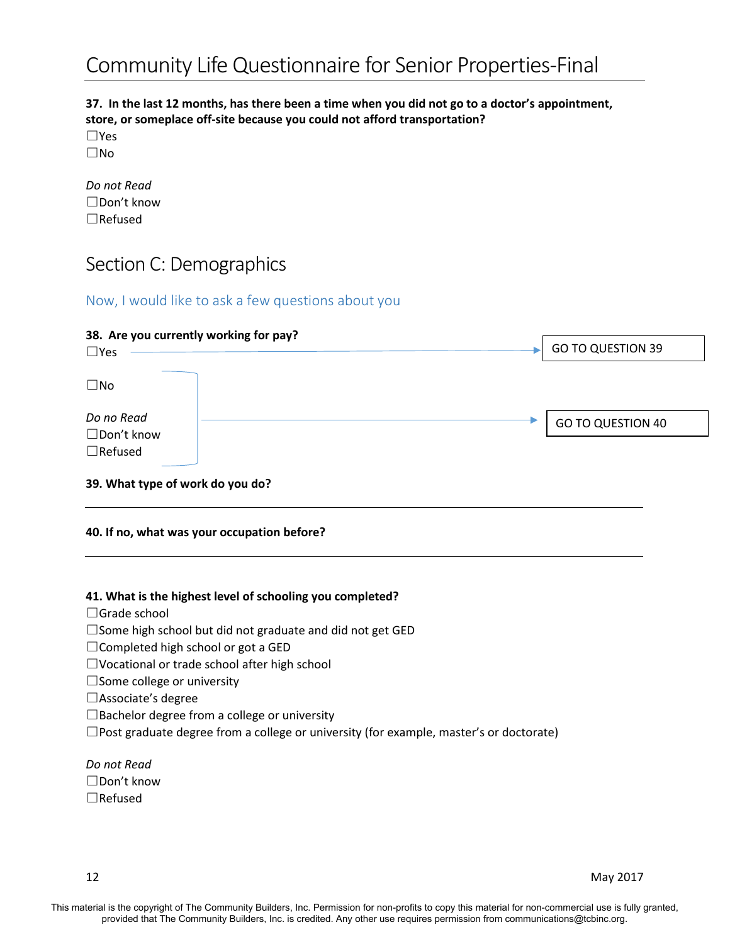#### **37. In the last 12 months, has there been a time when you did not go to a doctor's appointment, store, or someplace off-site because you could not afford transportation?**

☐Yes ☐No

| Do not Read    |
|----------------|
| ∣ IDon't know  |
| $\Box$ Refused |

# Section C: Demographics

## Now, I would like to ask a few questions about you

| 38. Are you currently working for pay?<br>$\square$ Yes |  |  | <b>GO TO QUESTION 39</b> |
|---------------------------------------------------------|--|--|--------------------------|
| $\square$ No                                            |  |  |                          |
| Do no Read<br>$\Box$ Don't know<br>$\Box$ Refused       |  |  | <b>GO TO QUESTION 40</b> |
| 39. What type of work do you do?                        |  |  |                          |

#### **40. If no, what was your occupation before?**

#### **41. What is the highest level of schooling you completed?**

☐Grade school

☐Some high school but did not graduate and did not get GED

☐Completed high school or got a GED

☐Vocational or trade school after high school

☐Some college or university

- ☐Associate's degree
- ☐Bachelor degree from a college or university

 $\square$ Post graduate degree from a college or university (for example, master's or doctorate)

*Do not Read* ☐Don't know ☐Refused

12 May 2017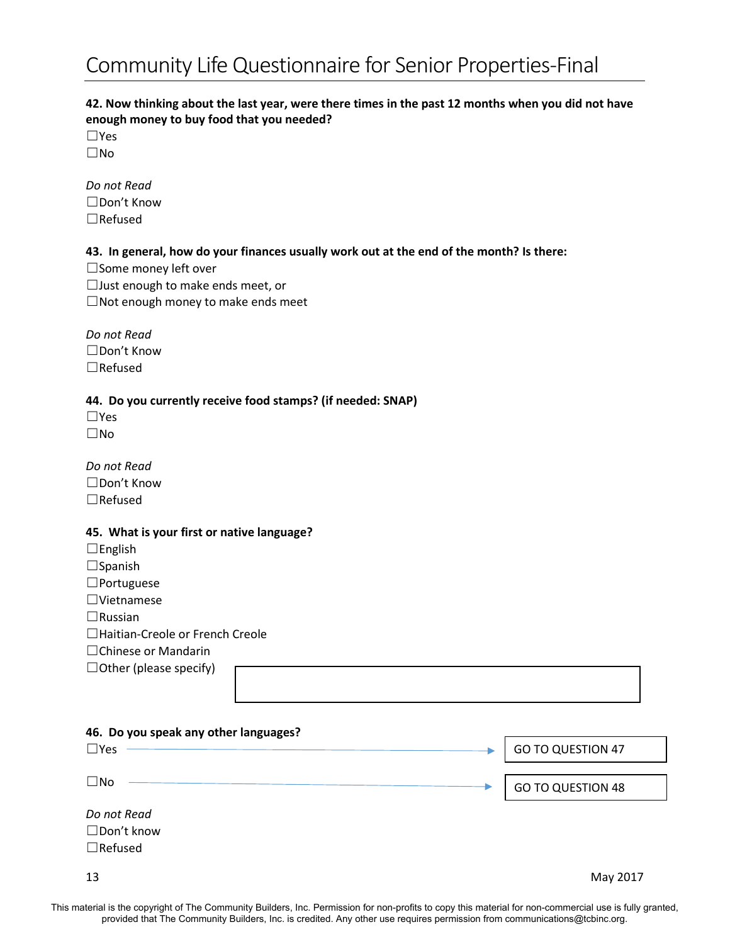### **42. Now thinking about the last year, were there times in the past 12 months when you did not have enough money to buy food that you needed?**

☐Yes ☐No

*Do not Read* ☐Don't Know ☐Refused

#### **43. In general, how do your finances usually work out at the end of the month? Is there:**

☐Some money left over ☐Just enough to make ends meet, or  $\Box$ Not enough money to make ends meet

*Do not Read* ☐Don't Know ☐Refused

#### **44. Do you currently receive food stamps? (if needed: SNAP)**

☐Yes ☐No

*Do not Read* ☐Don't Know ☐Refused

#### **45. What is your first or native language?**

| $\Box$ English                   |  |
|----------------------------------|--|
| $\Box$ Spanish                   |  |
| $\Box$ Portuguese                |  |
| $\Box$ Vietnamese                |  |
| $\Box$ Russian                   |  |
| □Haitian-Creole or French Creole |  |
| $\Box$ Chinese or Mandarin       |  |
| $\Box$ Other (please specify)    |  |

| 46. Do you speak any other languages?              |                          |
|----------------------------------------------------|--------------------------|
| $\Box$ Yes                                         | <b>GO TO QUESTION 47</b> |
| $\square$ No                                       | <b>GO TO QUESTION 48</b> |
| Do not Read<br>$\Box$ Don't know<br>$\Box$ Refused |                          |
| 13                                                 | May 2017                 |